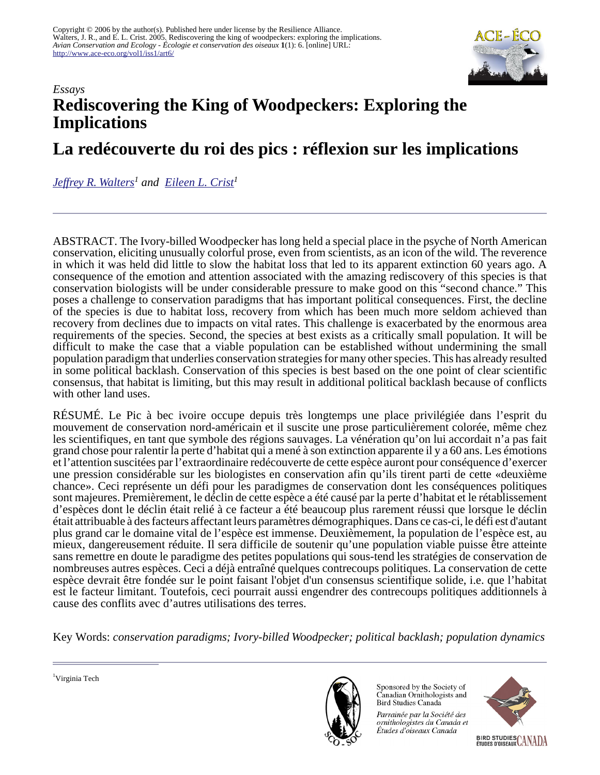

# *Essays* **Rediscovering the King of Woodpeckers: Exploring the Implications**

# **La redécouverte du roi des pics : réflexion sur les implications**

*[Jeffrey R. Walters](mailto:jrwalt@vt.edu)<sup>1</sup> and [Eileen L. Crist](mailto:ecrist@vt.edu)<sup>1</sup>*

ABSTRACT. The Ivory-billed Woodpecker has long held a special place in the psyche of North American conservation, eliciting unusually colorful prose, even from scientists, as an icon of the wild. The reverence in which it was held did little to slow the habitat loss that led to its apparent extinction 60 years ago. A consequence of the emotion and attention associated with the amazing rediscovery of this species is that conservation biologists will be under considerable pressure to make good on this "second chance." This poses a challenge to conservation paradigms that has important political consequences. First, the decline of the species is due to habitat loss, recovery from which has been much more seldom achieved than recovery from declines due to impacts on vital rates. This challenge is exacerbated by the enormous area requirements of the species. Second, the species at best exists as a critically small population. It will be difficult to make the case that a viable population can be established without undermining the small population paradigm that underlies conservation strategies for many other species. This has already resulted in some political backlash. Conservation of this species is best based on the one point of clear scientific consensus, that habitat is limiting, but this may result in additional political backlash because of conflicts with other land uses.

RÉSUMÉ. Le Pic à bec ivoire occupe depuis très longtemps une place privilégiée dans l'esprit du mouvement de conservation nord-américain et il suscite une prose particulièrement colorée, même chez les scientifiques, en tant que symbole des régions sauvages. La vénération qu'on lui accordait n'a pas fait grand chose pour ralentir la perte d'habitat qui a mené à son extinction apparente il y a 60 ans. Les émotions et l'attention suscitées par l'extraordinaire redécouverte de cette espèce auront pour conséquence d'exercer une pression considérable sur les biologistes en conservation afin qu'ils tirent parti de cette «deuxième chance». Ceci représente un défi pour les paradigmes de conservation dont les conséquences politiques sont majeures. Premièrement, le déclin de cette espèce a été causé par la perte d'habitat et le rétablissement d'espèces dont le déclin était relié à ce facteur a été beaucoup plus rarement réussi que lorsque le déclin était attribuable à des facteurs affectant leurs paramètres démographiques. Dans ce cas-ci, le défi est d'autant plus grand car le domaine vital de l'espèce est immense. Deuxièmement, la population de l'espèce est, au mieux, dangereusement réduite. Il sera difficile de soutenir qu'une population viable puisse être atteinte sans remettre en doute le paradigme des petites populations qui sous-tend les stratégies de conservation de nombreuses autres espèces. Ceci a déjà entraîné quelques contrecoups politiques. La conservation de cette espèce devrait être fondée sur le point faisant l'objet d'un consensus scientifique solide, i.e. que l'habitat est le facteur limitant. Toutefois, ceci pourrait aussi engendrer des contrecoups politiques additionnels à cause des conflits avec d'autres utilisations des terres.

Key Words: *conservation paradigms; Ivory-billed Woodpecker; political backlash; population dynamics*



Sponsored by the Society of Canadian Ornithologists and Bird Studies Canada

Parrainée par la Société des ornithologistes du Canada et Études d'oiseaux Canada

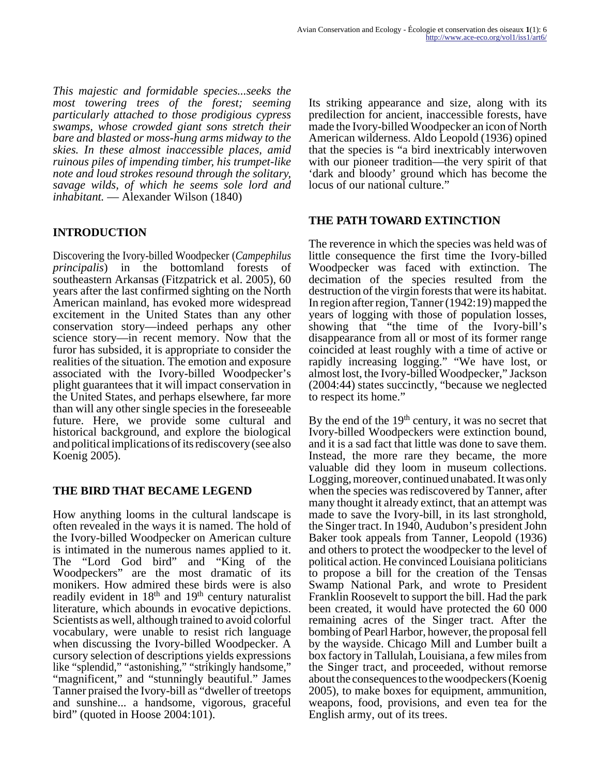*This majestic and formidable species...seeks the most towering trees of the forest; seeming particularly attached to those prodigious cypress swamps, whose crowded giant sons stretch their bare and blasted or moss-hung arms midway to the skies. In these almost inaccessible places, amid ruinous piles of impending timber, his trumpet-like note and loud strokes resound through the solitary, savage wilds, of which he seems sole lord and inhabitant.* — Alexander Wilson (1840)

# **INTRODUCTION**

Discovering the Ivory-billed Woodpecker (*Campephilus principalis*) in the bottomland forests of southeastern Arkansas (Fitzpatrick et al. 2005), 60 years after the last confirmed sighting on the North American mainland, has evoked more widespread excitement in the United States than any other conservation story—indeed perhaps any other science story—in recent memory. Now that the furor has subsided, it is appropriate to consider the realities of the situation. The emotion and exposure associated with the Ivory-billed Woodpecker's plight guarantees that it will impact conservation in the United States, and perhaps elsewhere, far more than will any other single species in the foreseeable future. Here, we provide some cultural and historical background, and explore the biological and political implications of its rediscovery (see also Koenig 2005).

#### **THE BIRD THAT BECAME LEGEND**

How anything looms in the cultural landscape is often revealed in the ways it is named. The hold of the Ivory-billed Woodpecker on American culture is intimated in the numerous names applied to it. The "Lord God bird" and "King of the Woodpeckers" are the most dramatic of its monikers. How admired these birds were is also readily evident in  $18<sup>th</sup>$  and  $19<sup>th</sup>$  century naturalist literature, which abounds in evocative depictions. Scientists as well, although trained to avoid colorful vocabulary, were unable to resist rich language when discussing the Ivory-billed Woodpecker. A cursory selection of descriptions yields expressions like "splendid," "astonishing," "strikingly handsome," "magnificent," and "stunningly beautiful." James Tanner praised the Ivory-bill as "dweller of treetops and sunshine... a handsome, vigorous, graceful bird" (quoted in Hoose 2004:101).

Its striking appearance and size, along with its predilection for ancient, inaccessible forests, have made the Ivory-billed Woodpecker an icon of North American wilderness. Aldo Leopold (1936) opined that the species is "a bird inextricably interwoven with our pioneer tradition—the very spirit of that 'dark and bloody' ground which has become the locus of our national culture."

## **THE PATH TOWARD EXTINCTION**

The reverence in which the species was held was of little consequence the first time the Ivory-billed Woodpecker was faced with extinction. The decimation of the species resulted from the destruction of the virgin forests that were its habitat. In region after region, Tanner (1942:19) mapped the years of logging with those of population losses, showing that "the time of the Ivory-bill's disappearance from all or most of its former range coincided at least roughly with a time of active or rapidly increasing logging." "We have lost, or almost lost, the Ivory-billed Woodpecker," Jackson (2004:44) states succinctly, "because we neglected to respect its home."

By the end of the 19<sup>th</sup> century, it was no secret that Ivory-billed Woodpeckers were extinction bound, and it is a sad fact that little was done to save them. Instead, the more rare they became, the more valuable did they loom in museum collections. Logging, moreover, continued unabated. It was only when the species was rediscovered by Tanner, after many thought it already extinct, that an attempt was made to save the Ivory-bill, in its last stronghold, the Singer tract. In 1940, Audubon's president John Baker took appeals from Tanner, Leopold (1936) and others to protect the woodpecker to the level of political action. He convinced Louisiana politicians to propose a bill for the creation of the Tensas Swamp National Park, and wrote to President Franklin Roosevelt to support the bill. Had the park been created, it would have protected the 60 000 remaining acres of the Singer tract. After the bombing of Pearl Harbor, however, the proposal fell by the wayside. Chicago Mill and Lumber built a box factory in Tallulah, Louisiana, a few miles from the Singer tract, and proceeded, without remorse about the consequences to the woodpeckers (Koenig 2005), to make boxes for equipment, ammunition, weapons, food, provisions, and even tea for the English army, out of its trees.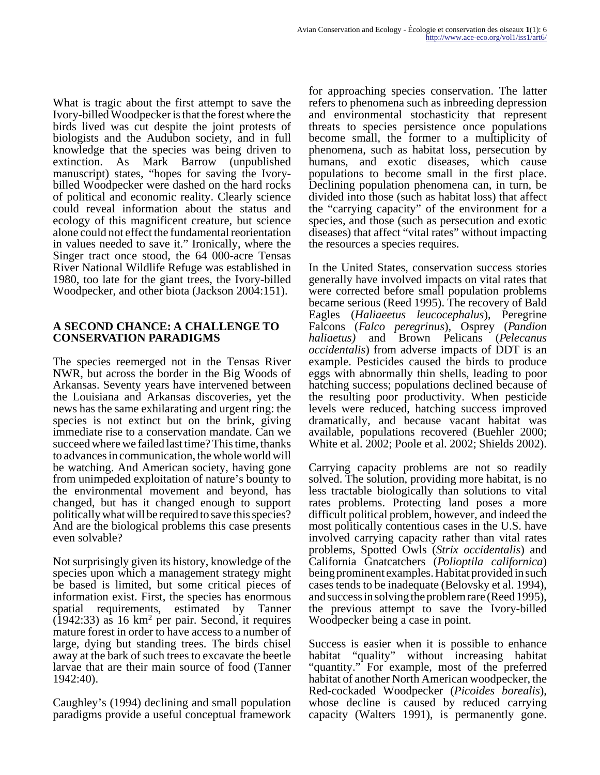What is tragic about the first attempt to save the Ivory-billed Woodpecker is that the forest where the birds lived was cut despite the joint protests of biologists and the Audubon society, and in full knowledge that the species was being driven to extinction. As Mark Barrow (unpublished manuscript) states, "hopes for saving the Ivorybilled Woodpecker were dashed on the hard rocks of political and economic reality. Clearly science could reveal information about the status and ecology of this magnificent creature, but science alone could not effect the fundamental reorientation in values needed to save it." Ironically, where the Singer tract once stood, the 64 000-acre Tensas River National Wildlife Refuge was established in 1980, too late for the giant trees, the Ivory-billed Woodpecker, and other biota (Jackson 2004:151).

#### **A SECOND CHANCE: A CHALLENGE TO CONSERVATION PARADIGMS**

The species reemerged not in the Tensas River NWR, but across the border in the Big Woods of Arkansas. Seventy years have intervened between the Louisiana and Arkansas discoveries, yet the news has the same exhilarating and urgent ring: the species is not extinct but on the brink, giving immediate rise to a conservation mandate. Can we succeed where we failed last time? This time, thanks to advances in communication, the whole world will be watching. And American society, having gone from unimpeded exploitation of nature's bounty to the environmental movement and beyond, has changed, but has it changed enough to support politically what will be required to save this species? And are the biological problems this case presents even solvable?

Not surprisingly given its history, knowledge of the species upon which a management strategy might be based is limited, but some critical pieces of information exist. First, the species has enormous spatial requirements, estimated by Tanner  $(1942:33)$  as 16 km<sup>2</sup> per pair. Second, it requires mature forest in order to have access to a number of large, dying but standing trees. The birds chisel away at the bark of such trees to excavate the beetle larvae that are their main source of food (Tanner 1942:40).

Caughley's (1994) declining and small population paradigms provide a useful conceptual framework

for approaching species conservation. The latter refers to phenomena such as inbreeding depression and environmental stochasticity that represent threats to species persistence once populations become small, the former to a multiplicity of phenomena, such as habitat loss, persecution by humans, and exotic diseases, which cause populations to become small in the first place. Declining population phenomena can, in turn, be divided into those (such as habitat loss) that affect the "carrying capacity" of the environment for a species, and those (such as persecution and exotic diseases) that affect "vital rates" without impacting the resources a species requires.

In the United States, conservation success stories generally have involved impacts on vital rates that were corrected before small population problems became serious (Reed 1995). The recovery of Bald Eagles (*Haliaeetus leucocephalus*), Peregrine Falcons (*Falco peregrinus*), Osprey (*Pandion haliaetus)* and Brown Pelicans (*Pelecanus occidentalis*) from adverse impacts of DDT is an example. Pesticides caused the birds to produce eggs with abnormally thin shells, leading to poor hatching success; populations declined because of the resulting poor productivity. When pesticide levels were reduced, hatching success improved dramatically, and because vacant habitat was available, populations recovered (Buehler 2000; White et al. 2002; Poole et al. 2002; Shields 2002).

Carrying capacity problems are not so readily solved. The solution, providing more habitat, is no less tractable biologically than solutions to vital rates problems. Protecting land poses a more difficult political problem, however, and indeed the most politically contentious cases in the U.S. have involved carrying capacity rather than vital rates problems, Spotted Owls (*Strix occidentalis*) and California Gnatcatchers (*Polioptila californica*) being prominent examples. Habitat provided in such cases tends to be inadequate (Belovsky et al. 1994), and success in solving the problem rare (Reed 1995), the previous attempt to save the Ivory-billed Woodpecker being a case in point.

Success is easier when it is possible to enhance habitat "quality" without increasing habitat "quantity." For example, most of the preferred habitat of another North American woodpecker, the Red-cockaded Woodpecker (*Picoides borealis*), whose decline is caused by reduced carrying capacity (Walters 1991), is permanently gone.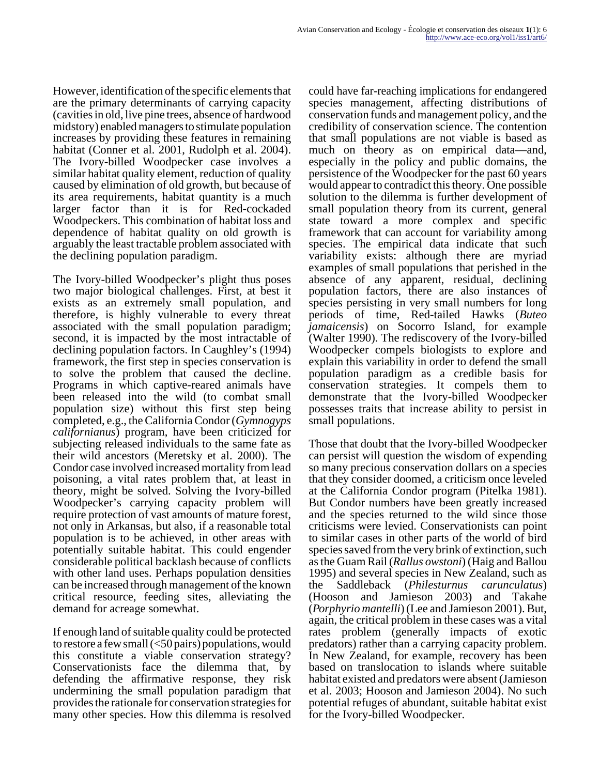However, identification of the specific elements that are the primary determinants of carrying capacity (cavities in old, live pine trees, absence of hardwood midstory) enabled managers to stimulate population increases by providing these features in remaining habitat (Conner et al. 2001, Rudolph et al. 2004). The Ivory-billed Woodpecker case involves a similar habitat quality element, reduction of quality caused by elimination of old growth, but because of its area requirements, habitat quantity is a much larger factor than it is for Red-cockaded Woodpeckers. This combination of habitat loss and dependence of habitat quality on old growth is arguably the least tractable problem associated with the declining population paradigm.

The Ivory-billed Woodpecker's plight thus poses two major biological challenges. First, at best it exists as an extremely small population, and therefore, is highly vulnerable to every threat associated with the small population paradigm; second, it is impacted by the most intractable of declining population factors. In Caughley's (1994) framework, the first step in species conservation is to solve the problem that caused the decline. Programs in which captive-reared animals have been released into the wild (to combat small population size) without this first step being completed, e.g., the California Condor (*Gymnogyps californianus*) program, have been criticized for subjecting released individuals to the same fate as their wild ancestors (Meretsky et al. 2000). The Condor case involved increased mortality from lead poisoning, a vital rates problem that, at least in theory, might be solved. Solving the Ivory-billed Woodpecker's carrying capacity problem will require protection of vast amounts of mature forest, not only in Arkansas, but also, if a reasonable total population is to be achieved, in other areas with potentially suitable habitat. This could engender considerable political backlash because of conflicts with other land uses. Perhaps population densities can be increased through management of the known critical resource, feeding sites, alleviating the demand for acreage somewhat.

If enough land of suitable quality could be protected to restore a few small  $(<50 \,\mathrm{pairs})$  populations, would this constitute a viable conservation strategy? Conservationists face the dilemma that, by defending the affirmative response, they risk undermining the small population paradigm that provides the rationale for conservation strategies for many other species. How this dilemma is resolved

could have far-reaching implications for endangered species management, affecting distributions of conservation funds and management policy, and the credibility of conservation science. The contention that small populations are not viable is based as much on theory as on empirical data—and, especially in the policy and public domains, the persistence of the Woodpecker for the past 60 years would appear to contradict this theory. One possible solution to the dilemma is further development of small population theory from its current, general state toward a more complex and specific framework that can account for variability among species. The empirical data indicate that such variability exists: although there are myriad examples of small populations that perished in the absence of any apparent, residual, declining population factors, there are also instances of species persisting in very small numbers for long periods of time, Red-tailed Hawks (*Buteo jamaicensis*) on Socorro Island, for example (Walter 1990). The rediscovery of the Ivory-billed Woodpecker compels biologists to explore and explain this variability in order to defend the small population paradigm as a credible basis for conservation strategies. It compels them to demonstrate that the Ivory-billed Woodpecker possesses traits that increase ability to persist in small populations.

Those that doubt that the Ivory-billed Woodpecker can persist will question the wisdom of expending so many precious conservation dollars on a species that they consider doomed, a criticism once leveled at the California Condor program (Pitelka 1981). But Condor numbers have been greatly increased and the species returned to the wild since those criticisms were levied. Conservationists can point to similar cases in other parts of the world of bird species saved from the very brink of extinction, such as the Guam Rail (*Rallus owstoni*) (Haig and Ballou 1995) and several species in New Zealand, such as the Saddleback (*Philesturnus carunculatus*) (Hooson and Jamieson 2003) and Takahe (*Porphyrio mantelli*) (Lee and Jamieson 2001). But, again, the critical problem in these cases was a vital rates problem (generally impacts of exotic predators) rather than a carrying capacity problem. In New Zealand, for example, recovery has been based on translocation to islands where suitable habitat existed and predators were absent (Jamieson et al. 2003; Hooson and Jamieson 2004). No such potential refuges of abundant, suitable habitat exist for the Ivory-billed Woodpecker.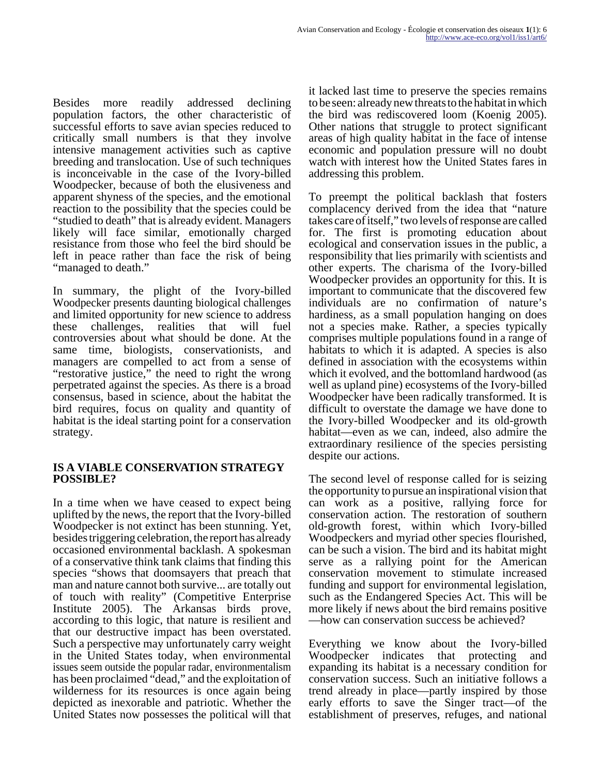Besides more readily addressed declining population factors, the other characteristic of successful efforts to save avian species reduced to critically small numbers is that they involve intensive management activities such as captive breeding and translocation. Use of such techniques is inconceivable in the case of the Ivory-billed Woodpecker, because of both the elusiveness and apparent shyness of the species, and the emotional reaction to the possibility that the species could be "studied to death" that is already evident. Managers likely will face similar, emotionally charged resistance from those who feel the bird should be left in peace rather than face the risk of being "managed to death."

In summary, the plight of the Ivory-billed Woodpecker presents daunting biological challenges and limited opportunity for new science to address<br>these challenges, realities that will fuel these challenges, realities that will fuel controversies about what should be done. At the same time, biologists, conservationists, and managers are compelled to act from a sense of "restorative justice," the need to right the wrong perpetrated against the species. As there is a broad consensus, based in science, about the habitat the bird requires, focus on quality and quantity of habitat is the ideal starting point for a conservation strategy.

#### **IS A VIABLE CONSERVATION STRATEGY POSSIBLE?**

In a time when we have ceased to expect being uplifted by the news, the report that the Ivory-billed Woodpecker is not extinct has been stunning. Yet, besides triggering celebration, the report has already occasioned environmental backlash. A spokesman of a conservative think tank claims that finding this species "shows that doomsayers that preach that man and nature cannot both survive... are totally out of touch with reality" (Competitive Enterprise Institute 2005). The Arkansas birds prove, according to this logic, that nature is resilient and that our destructive impact has been overstated. Such a perspective may unfortunately carry weight in the United States today, when environmental issues seem outside the popular radar, environmentalism has been proclaimed "dead," and the exploitation of wilderness for its resources is once again being depicted as inexorable and patriotic. Whether the United States now possesses the political will that

it lacked last time to preserve the species remains to be seen: already new threats to the habitat in which the bird was rediscovered loom (Koenig 2005). Other nations that struggle to protect significant areas of high quality habitat in the face of intense economic and population pressure will no doubt watch with interest how the United States fares in addressing this problem.

To preempt the political backlash that fosters complacency derived from the idea that "nature takes care of itself," two levels of response are called for. The first is promoting education about ecological and conservation issues in the public, a responsibility that lies primarily with scientists and other experts. The charisma of the Ivory-billed Woodpecker provides an opportunity for this. It is important to communicate that the discovered few individuals are no confirmation of nature's hardiness, as a small population hanging on does not a species make. Rather, a species typically comprises multiple populations found in a range of habitats to which it is adapted. A species is also defined in association with the ecosystems within which it evolved, and the bottomland hardwood (as well as upland pine) ecosystems of the Ivory-billed Woodpecker have been radically transformed. It is difficult to overstate the damage we have done to the Ivory-billed Woodpecker and its old-growth habitat—even as we can, indeed, also admire the extraordinary resilience of the species persisting despite our actions.

The second level of response called for is seizing the opportunity to pursue an inspirational vision that can work as a positive, rallying force for conservation action. The restoration of southern old-growth forest, within which Ivory-billed Woodpeckers and myriad other species flourished, can be such a vision. The bird and its habitat might serve as a rallying point for the American conservation movement to stimulate increased funding and support for environmental legislation, such as the Endangered Species Act. This will be more likely if news about the bird remains positive —how can conservation success be achieved?

Everything we know about the Ivory-billed Woodpecker indicates that protecting and expanding its habitat is a necessary condition for conservation success. Such an initiative follows a trend already in place—partly inspired by those early efforts to save the Singer tract—of the establishment of preserves, refuges, and national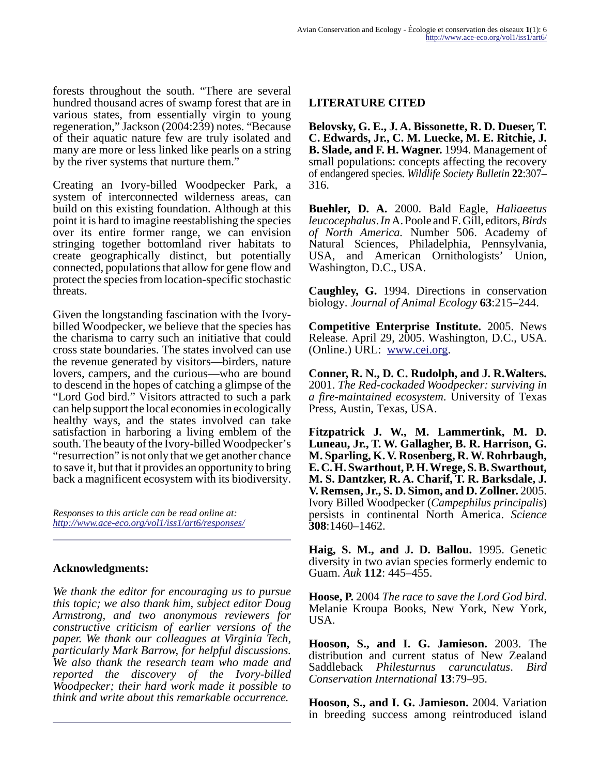forests throughout the south. "There are several hundred thousand acres of swamp forest that are in various states, from essentially virgin to young regeneration," Jackson (2004:239) notes. "Because of their aquatic nature few are truly isolated and many are more or less linked like pearls on a string by the river systems that nurture them."

Creating an Ivory-billed Woodpecker Park, a system of interconnected wilderness areas, can build on this existing foundation. Although at this point it is hard to imagine reestablishing the species over its entire former range, we can envision stringing together bottomland river habitats to create geographically distinct, but potentially connected, populations that allow for gene flow and protect the species from location-specific stochastic threats.

Given the longstanding fascination with the Ivorybilled Woodpecker, we believe that the species has the charisma to carry such an initiative that could cross state boundaries. The states involved can use the revenue generated by visitors—birders, nature lovers, campers, and the curious—who are bound to descend in the hopes of catching a glimpse of the "Lord God bird." Visitors attracted to such a park can help support the local economies in ecologically healthy ways, and the states involved can take satisfaction in harboring a living emblem of the south. The beauty of the Ivory-billed Woodpecker's "resurrection" is not only that we get another chance to save it, but that it provides an opportunity to bring back a magnificent ecosystem with its biodiversity.

*Responses to this article can be read online at: <http://www.ace-eco.org/vol1/iss1/art6/responses/>*

## **Acknowledgments:**

*We thank the editor for encouraging us to pursue this topic; we also thank him, subject editor Doug Armstrong, and two anonymous reviewers for constructive criticism of earlier versions of the paper. We thank our colleagues at Virginia Tech, particularly Mark Barrow, for helpful discussions. We also thank the research team who made and reported the discovery of the Ivory-billed Woodpecker; their hard work made it possible to think and write about this remarkable occurrence.*

## **LITERATURE CITED**

**Belovsky, G. E., J. A. Bissonette, R. D. Dueser, T. C. Edwards, Jr., C. M. Luecke, M. E. Ritchie, J. B. Slade, and F. H. Wagner.** 1994. Management of small populations: concepts affecting the recovery of endangered species. *Wildlife Society Bulletin* **22**:307– 316.

**Buehler, D. A.** 2000. Bald Eagle, *Haliaeetus leucocephalus*. *In* A. Poole and F. Gill, editors, *Birds of North America.* Number 506. Academy of Natural Sciences, Philadelphia, Pennsylvania, USA, and American Ornithologists' Union, Washington, D.C., USA.

**Caughley, G.** 1994. Directions in conservation biology. *Journal of Animal Ecology* **63**:215–244.

**Competitive Enterprise Institute.** 2005. News Release. April 29, 2005. Washington, D.C., USA. (Online.) URL: [www.cei.org.](http://www.cei.org)

**Conner, R. N., D. C. Rudolph, and J. R.Walters.** 2001. *The Red-cockaded Woodpecker: surviving in a fire-maintained ecosystem*. University of Texas Press, Austin, Texas, USA.

**Fitzpatrick J. W., M. Lammertink, M. D. Luneau, Jr., T. W. Gallagher, B. R. Harrison, G. M. Sparling, K. V. Rosenberg, R. W. Rohrbaugh, E. C. H. Swarthout, P. H. Wrege, S. B. Swarthout, M. S. Dantzker, R. A. Charif, T. R. Barksdale, J. V. Remsen, Jr., S. D. Simon, and D. Zollner.** 2005. Ivory Billed Woodpecker (*Campephilus principalis*) persists in continental North America. *Science* **308**:1460–1462.

**Haig, S. M., and J. D. Ballou.** 1995. Genetic diversity in two avian species formerly endemic to Guam. *Auk* **112**: 445–455.

**Hoose, P.** 2004 *The race to save the Lord God bird*. Melanie Kroupa Books, New York, New York, USA.

**Hooson, S., and I. G. Jamieson.** 2003. The distribution and current status of New Zealand Saddleback *Philesturnus carunculatus*. *Bird Conservation International* **13**:79–95.

**Hooson, S., and I. G. Jamieson.** 2004. Variation in breeding success among reintroduced island